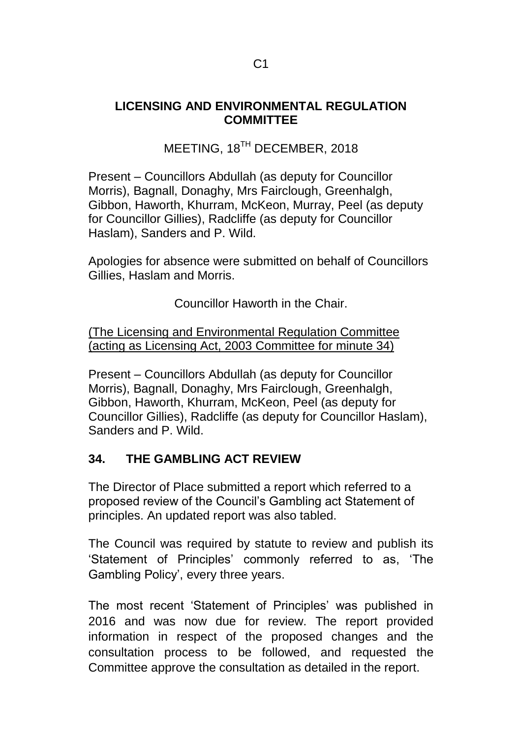## **LICENSING AND ENVIRONMENTAL REGULATION COMMITTEE**

# MEETING, 18<sup>TH</sup> DECEMBER, 2018

Present – Councillors Abdullah (as deputy for Councillor Morris), Bagnall, Donaghy, Mrs Fairclough, Greenhalgh, Gibbon, Haworth, Khurram, McKeon, Murray, Peel (as deputy for Councillor Gillies), Radcliffe (as deputy for Councillor Haslam), Sanders and P. Wild.

Apologies for absence were submitted on behalf of Councillors Gillies, Haslam and Morris.

Councillor Haworth in the Chair.

(The Licensing and Environmental Regulation Committee (acting as Licensing Act, 2003 Committee for minute 34)

Present – Councillors Abdullah (as deputy for Councillor Morris), Bagnall, Donaghy, Mrs Fairclough, Greenhalgh, Gibbon, Haworth, Khurram, McKeon, Peel (as deputy for Councillor Gillies), Radcliffe (as deputy for Councillor Haslam), Sanders and P. Wild.

# **34. THE GAMBLING ACT REVIEW**

The Director of Place submitted a report which referred to a proposed review of the Council's Gambling act Statement of principles. An updated report was also tabled.

The Council was required by statute to review and publish its 'Statement of Principles' commonly referred to as, 'The Gambling Policy', every three years.

The most recent 'Statement of Principles' was published in 2016 and was now due for review. The report provided information in respect of the proposed changes and the consultation process to be followed, and requested the Committee approve the consultation as detailed in the report.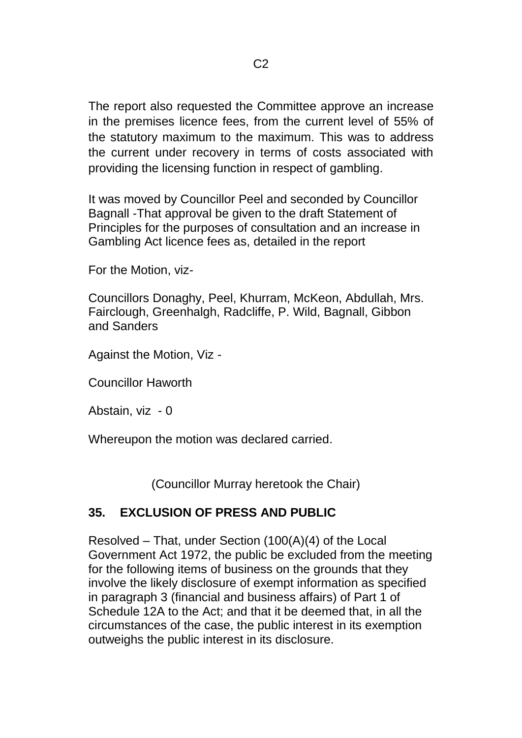The report also requested the Committee approve an increase in the premises licence fees, from the current level of 55% of the statutory maximum to the maximum. This was to address the current under recovery in terms of costs associated with providing the licensing function in respect of gambling.

It was moved by Councillor Peel and seconded by Councillor Bagnall -That approval be given to the draft Statement of Principles for the purposes of consultation and an increase in Gambling Act licence fees as, detailed in the report

For the Motion, viz-

Councillors Donaghy, Peel, Khurram, McKeon, Abdullah, Mrs. Fairclough, Greenhalgh, Radcliffe, P. Wild, Bagnall, Gibbon and Sanders

Against the Motion, Viz -

Councillor Haworth

Abstain, viz - 0

Whereupon the motion was declared carried.

(Councillor Murray heretook the Chair)

# **35. EXCLUSION OF PRESS AND PUBLIC**

Resolved – That, under Section (100(A)(4) of the Local Government Act 1972, the public be excluded from the meeting for the following items of business on the grounds that they involve the likely disclosure of exempt information as specified in paragraph 3 (financial and business affairs) of Part 1 of Schedule 12A to the Act; and that it be deemed that, in all the circumstances of the case, the public interest in its exemption outweighs the public interest in its disclosure.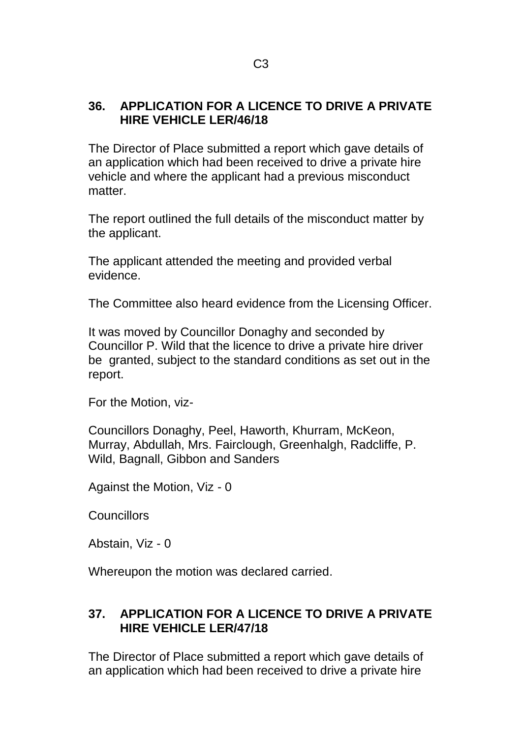#### **36. APPLICATION FOR A LICENCE TO DRIVE A PRIVATE HIRE VEHICLE LER/46/18**

The Director of Place submitted a report which gave details of an application which had been received to drive a private hire vehicle and where the applicant had a previous misconduct matter.

The report outlined the full details of the misconduct matter by the applicant.

The applicant attended the meeting and provided verbal evidence.

The Committee also heard evidence from the Licensing Officer.

It was moved by Councillor Donaghy and seconded by Councillor P. Wild that the licence to drive a private hire driver be granted, subject to the standard conditions as set out in the report.

For the Motion, viz-

Councillors Donaghy, Peel, Haworth, Khurram, McKeon, Murray, Abdullah, Mrs. Fairclough, Greenhalgh, Radcliffe, P. Wild, Bagnall, Gibbon and Sanders

Against the Motion, Viz - 0

**Councillors** 

Abstain, Viz - 0

Whereupon the motion was declared carried.

## **37. APPLICATION FOR A LICENCE TO DRIVE A PRIVATE HIRE VEHICLE LER/47/18**

The Director of Place submitted a report which gave details of an application which had been received to drive a private hire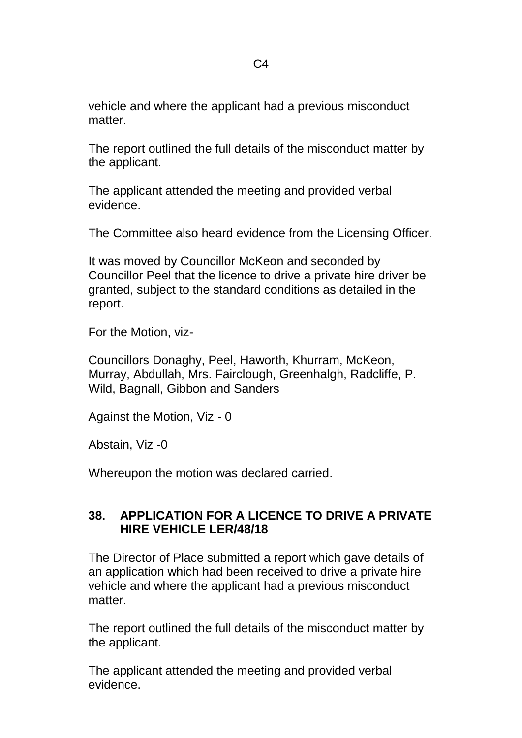vehicle and where the applicant had a previous misconduct matter

The report outlined the full details of the misconduct matter by the applicant.

The applicant attended the meeting and provided verbal evidence.

The Committee also heard evidence from the Licensing Officer.

It was moved by Councillor McKeon and seconded by Councillor Peel that the licence to drive a private hire driver be granted, subject to the standard conditions as detailed in the report.

For the Motion, viz-

Councillors Donaghy, Peel, Haworth, Khurram, McKeon, Murray, Abdullah, Mrs. Fairclough, Greenhalgh, Radcliffe, P. Wild, Bagnall, Gibbon and Sanders

Against the Motion, Viz - 0

Abstain, Viz -0

Whereupon the motion was declared carried.

#### **38. APPLICATION FOR A LICENCE TO DRIVE A PRIVATE HIRE VEHICLE LER/48/18**

The Director of Place submitted a report which gave details of an application which had been received to drive a private hire vehicle and where the applicant had a previous misconduct matter

The report outlined the full details of the misconduct matter by the applicant.

The applicant attended the meeting and provided verbal evidence.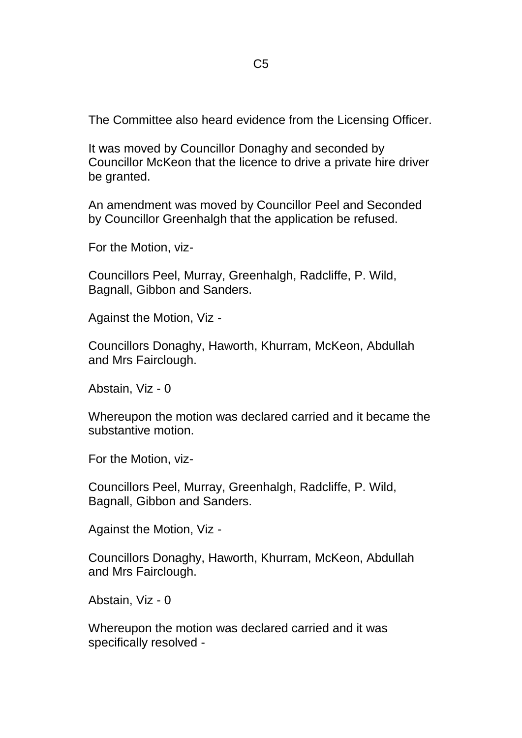The Committee also heard evidence from the Licensing Officer.

It was moved by Councillor Donaghy and seconded by Councillor McKeon that the licence to drive a private hire driver be granted.

An amendment was moved by Councillor Peel and Seconded by Councillor Greenhalgh that the application be refused.

For the Motion, viz-

Councillors Peel, Murray, Greenhalgh, Radcliffe, P. Wild, Bagnall, Gibbon and Sanders.

Against the Motion, Viz -

Councillors Donaghy, Haworth, Khurram, McKeon, Abdullah and Mrs Fairclough.

Abstain, Viz - 0

Whereupon the motion was declared carried and it became the substantive motion.

For the Motion, viz-

Councillors Peel, Murray, Greenhalgh, Radcliffe, P. Wild, Bagnall, Gibbon and Sanders.

Against the Motion, Viz -

Councillors Donaghy, Haworth, Khurram, McKeon, Abdullah and Mrs Fairclough.

Abstain, Viz - 0

Whereupon the motion was declared carried and it was specifically resolved -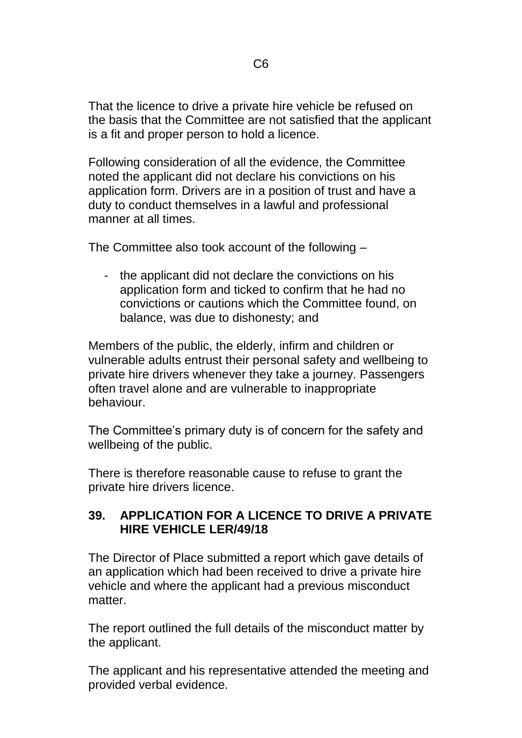That the licence to drive a private hire vehicle be refused on the basis that the Committee are not satisfied that the applicant is a fit and proper person to hold a licence.

Following consideration of all the evidence, the Committee noted the applicant did not declare his convictions on his application form. Drivers are in a position of trust and have a duty to conduct themselves in a lawful and professional manner at all times.

The Committee also took account of the following –

- the applicant did not declare the convictions on his application form and ticked to confirm that he had no convictions or cautions which the Committee found, on balance, was due to dishonesty; and

Members of the public, the elderly, infirm and children or vulnerable adults entrust their personal safety and wellbeing to private hire drivers whenever they take a journey. Passengers often travel alone and are vulnerable to inappropriate behaviour.

The Committee's primary duty is of concern for the safety and wellbeing of the public.

There is therefore reasonable cause to refuse to grant the private hire drivers licence.

## **39. APPLICATION FOR A LICENCE TO DRIVE A PRIVATE HIRE VEHICLE LER/49/18**

The Director of Place submitted a report which gave details of an application which had been received to drive a private hire vehicle and where the applicant had a previous misconduct matter

The report outlined the full details of the misconduct matter by the applicant.

The applicant and his representative attended the meeting and provided verbal evidence.